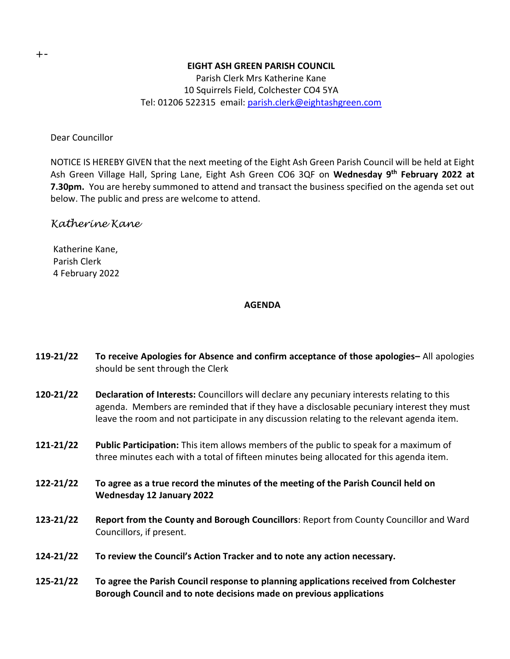#### **EIGHT ASH GREEN PARISH COUNCIL**

Parish Clerk Mrs Katherine Kane 10 Squirrels Field, Colchester CO4 5YA Tel: 01206 522315 email: [parish.clerk@eightashgreen.com](mailto:parish.clerk@eightashgreen.com)

Dear Councillor

NOTICE IS HEREBY GIVEN that the next meeting of the Eight Ash Green Parish Council will be held at Eight Ash Green Village Hall, Spring Lane, Eight Ash Green CO6 3QF on **Wednesday 9 th February 2022 at 7.30pm.** You are hereby summoned to attend and transact the business specified on the agenda set out below. The public and press are welcome to attend.

# *Katherine Kane*

Katherine Kane, Parish Clerk 4 February 2022

### **AGENDA**

- **119-21/22 To receive Apologies for Absence and confirm acceptance of those apologies–** All apologies should be sent through the Clerk
- **120-21/22 Declaration of Interests:** Councillors will declare any pecuniary interests relating to this agenda. Members are reminded that if they have a disclosable pecuniary interest they must leave the room and not participate in any discussion relating to the relevant agenda item.
- **121-21/22 Public Participation:** This item allows members of the public to speak for a maximum of three minutes each with a total of fifteen minutes being allocated for this agenda item.
- **122-21/22 To agree as a true record the minutes of the meeting of the Parish Council held on Wednesday 12 January 2022**
- **123-21/22 Report from the County and Borough Councillors**: Report from County Councillor and Ward Councillors, if present.
- **124-21/22 To review the Council's Action Tracker and to note any action necessary.**
- **125-21/22 To agree the Parish Council response to planning applications received from Colchester Borough Council and to note decisions made on previous applications**

+-